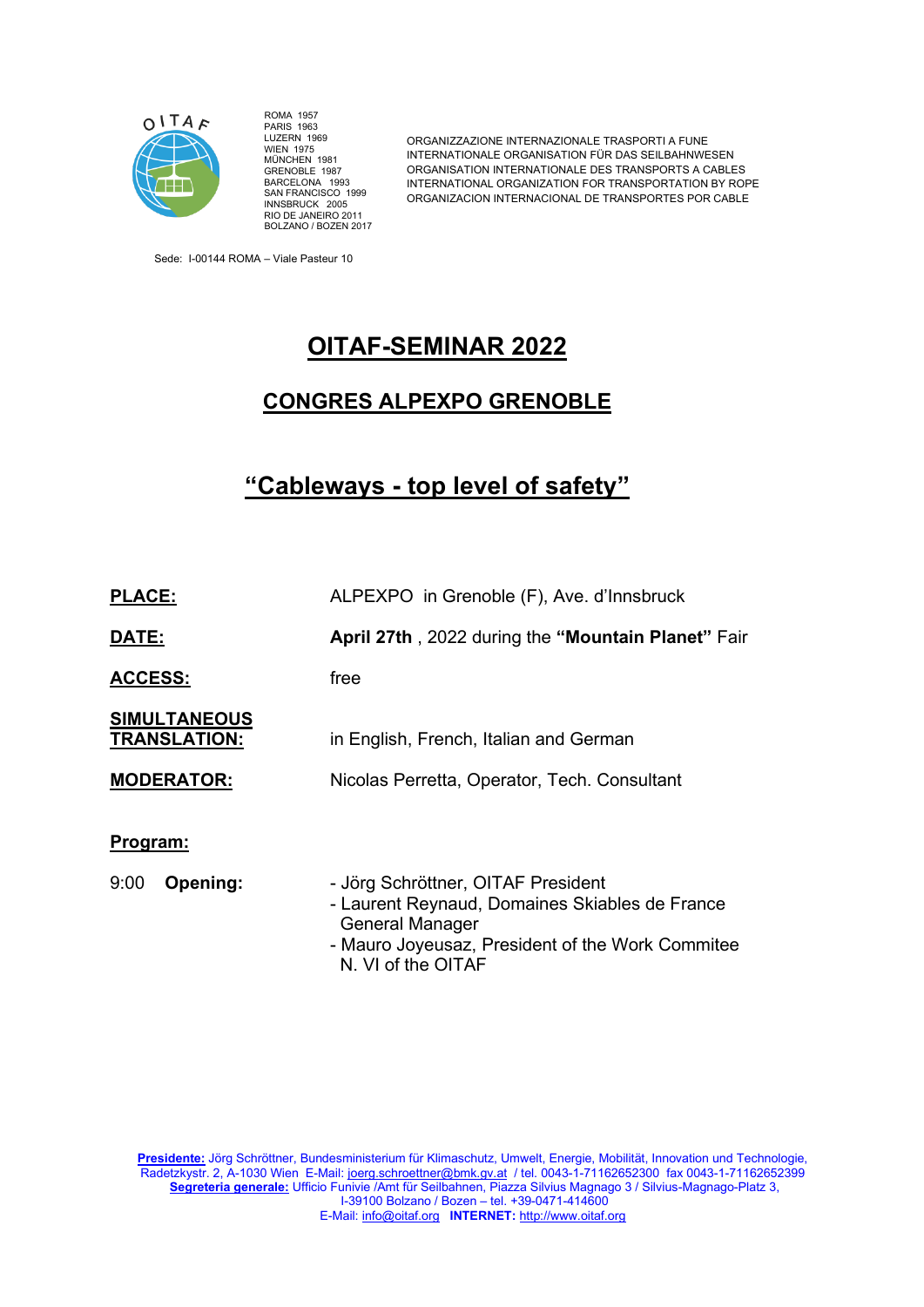

ROMA 1957 PARIS 1963 LUZERN 1969 WIEN 1975 MÜNCHEN 1981 GRENOBLE 1987 BARCELONA 1993 SAN FRANCISCO 1999 INNSBRUCK 2005 RIO DE JANEIRO 2011 BOLZANO / BOZEN 2017

ORGANIZZAZIONE INTERNAZIONALE TRASPORTI A FUNE INTERNATIONALE ORGANISATION FÜR DAS SEILBAHNWESEN ORGANISATION INTERNATIONALE DES TRANSPORTS A CABLES INTERNATIONAL ORGANIZATION FOR TRANSPORTATION BY ROPE ORGANIZACION INTERNACIONAL DE TRANSPORTES POR CABLE

Sede: I-00144 ROMA – Viale Pasteur 10

# **OITAF-SEMINAR 2022**

### **CONGRES ALPEXPO GRENOBLE**

# **"Cableways - top level of safety"**

| <b>PLACE:</b>                              | ALPEXPO in Grenoble (F), Ave. d'Innsbruck                                                                                                                                                |
|--------------------------------------------|------------------------------------------------------------------------------------------------------------------------------------------------------------------------------------------|
| DATE:                                      | April 27th, 2022 during the "Mountain Planet" Fair                                                                                                                                       |
| <b>ACCESS:</b>                             | free                                                                                                                                                                                     |
| <b>SIMULTANEOUS</b><br><b>TRANSLATION:</b> | in English, French, Italian and German                                                                                                                                                   |
| <b>MODERATOR:</b>                          | Nicolas Perretta, Operator, Tech. Consultant                                                                                                                                             |
| Program:                                   |                                                                                                                                                                                          |
| Opening:<br>9:00                           | - Jörg Schröttner, OITAF President<br>- Laurent Reynaud, Domaines Skiables de France<br><b>General Manager</b><br>- Mauro Joyeusaz, President of the Work Commitee<br>N. VI of the OITAF |

**Presidente:** Jörg Schröttner, Bundesministerium für Klimaschutz, Umwelt, Energie, Mobilität, Innovation und Technologie, Radetzkystr. 2, A-1030 Wien E-Mail: [joerg.schroettner@bmk.gv.at](mailto:joerg.schroettner@bmk.gv.at) / tel. 0043-1-71162652300 fax 0043-1-71162652399 **Segreteria generale:** Ufficio Funivie /Amt für Seilbahnen, Piazza Silvius Magnago 3 / Silvius-Magnago-Platz 3, I-39100 Bolzano / Bozen – tel. +39-0471-414600 E-Mail[: info@oitaf.org](mailto:info@oitaf.org) **INTERNET:** [http://www.oitaf.org](http://www.oitaf.org/)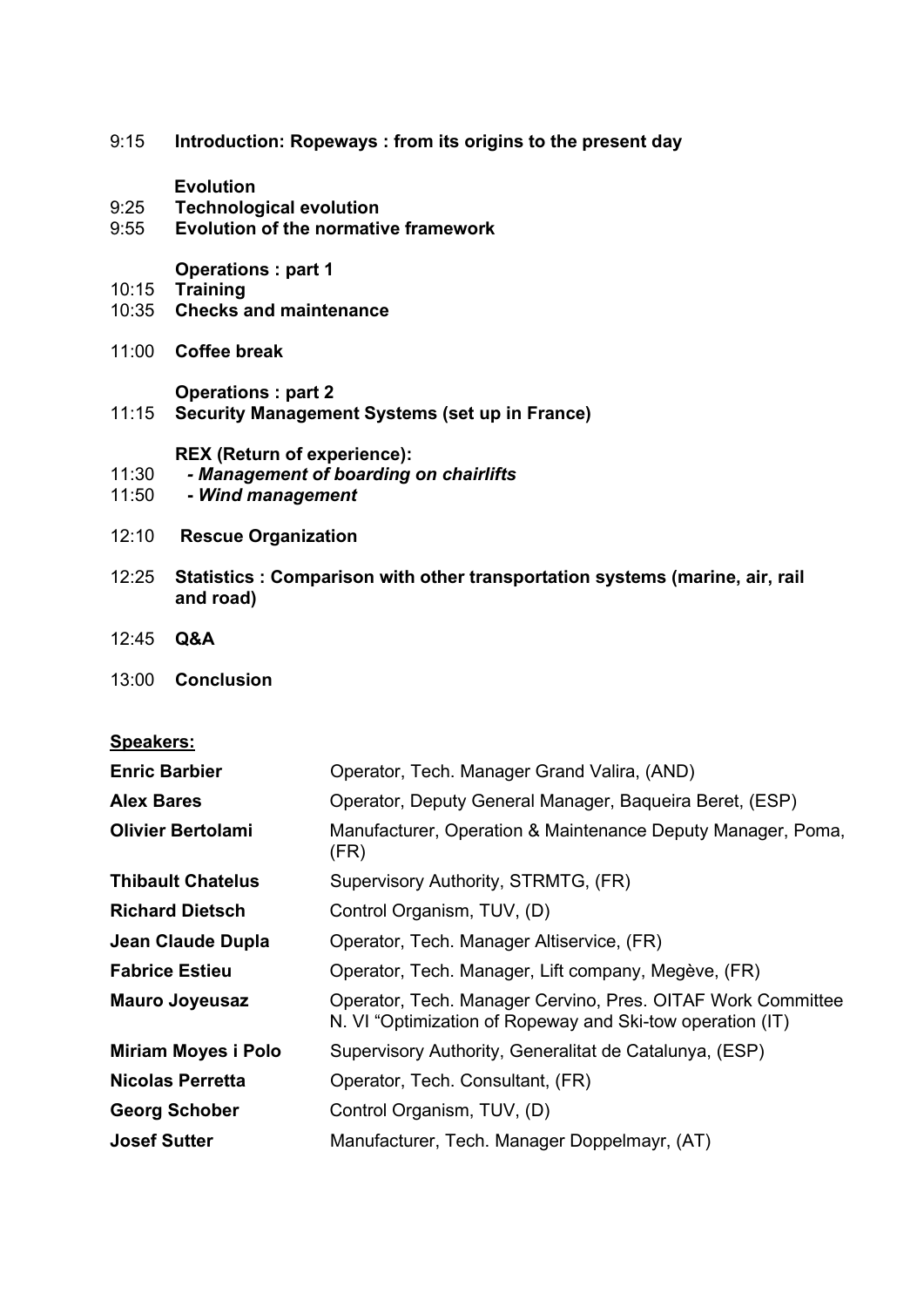9:15 **Introduction: Ropeways : from its origins to the present day**

**Evolution** 

- 9:25 **Technological evolution**
- 9:55 **Evolution of the normative framework**

**Operations : part 1** 

- 10:15 **Training**
- 10:35 **Checks and maintenance**
- 11:00 **Coffee break**

**Operations : part 2**

11:15 **Security Management Systems (set up in France)** 

**REX (Return of experience):** 

- 11:30 *- Management of boarding on chairlifts*
- 11:50 **-** *Wind management*
- 12:10 **Rescue Organization**
- 12:25 **Statistics : Comparison with other transportation systems (marine, air, rail and road)**
- 12:45 **Q&A**

#### 13:00 **Conclusion**

### **Speakers:**

| <b>Enric Barbier</b>       | Operator, Tech. Manager Grand Valira, (AND)                                                                              |
|----------------------------|--------------------------------------------------------------------------------------------------------------------------|
| <b>Alex Bares</b>          | Operator, Deputy General Manager, Baqueira Beret, (ESP)                                                                  |
| <b>Olivier Bertolami</b>   | Manufacturer, Operation & Maintenance Deputy Manager, Poma,<br>(FR)                                                      |
| <b>Thibault Chatelus</b>   | Supervisory Authority, STRMTG, (FR)                                                                                      |
| <b>Richard Dietsch</b>     | Control Organism, TUV, (D)                                                                                               |
| Jean Claude Dupla          | Operator, Tech. Manager Altiservice, (FR)                                                                                |
| <b>Fabrice Estieu</b>      | Operator, Tech. Manager, Lift company, Megève, (FR)                                                                      |
| <b>Mauro Joyeusaz</b>      | Operator, Tech. Manager Cervino, Pres. OITAF Work Committee<br>N. VI "Optimization of Ropeway and Ski-tow operation (IT) |
| <b>Miriam Moyes i Polo</b> | Supervisory Authority, Generalitat de Catalunya, (ESP)                                                                   |
| <b>Nicolas Perretta</b>    | Operator, Tech. Consultant, (FR)                                                                                         |
| <b>Georg Schober</b>       | Control Organism, TUV, (D)                                                                                               |
| <b>Josef Sutter</b>        | Manufacturer, Tech. Manager Doppelmayr, (AT)                                                                             |